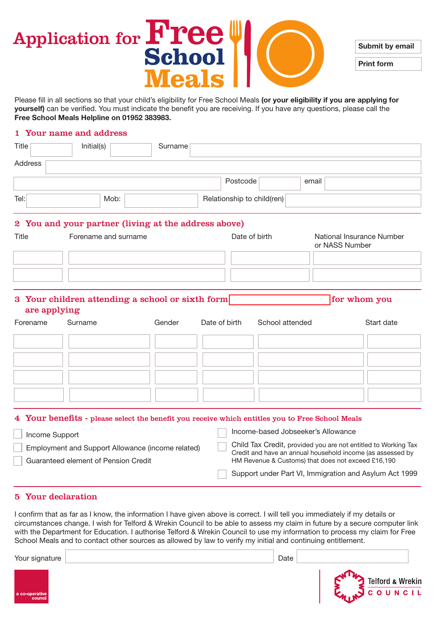#### Application for **Free School Meals** Submit by email Print form

Please fill in all sections so that your child's eligibility for Free School Meals (or your eligibility if you are applying for yourself) can be verified. You must indicate the benefit you are receiving. If you have any questions, please call the Free School Meals Helpline on 01952 383983.

#### 1 Your name and address

| Title                         | Initial(s)                                                                                      | Surname |                            |                                    |                                                                                                                                                                                    |  |
|-------------------------------|-------------------------------------------------------------------------------------------------|---------|----------------------------|------------------------------------|------------------------------------------------------------------------------------------------------------------------------------------------------------------------------------|--|
| Address                       |                                                                                                 |         |                            |                                    |                                                                                                                                                                                    |  |
|                               |                                                                                                 |         | Postcode                   | email                              |                                                                                                                                                                                    |  |
| Tel:                          | Mob:                                                                                            |         | Relationship to child(ren) |                                    |                                                                                                                                                                                    |  |
|                               | 2 You and your partner (living at the address above)                                            |         |                            |                                    |                                                                                                                                                                                    |  |
| Title<br>Forename and surname |                                                                                                 |         | Date of birth              |                                    | National Insurance Number<br>or NASS Number                                                                                                                                        |  |
|                               |                                                                                                 |         |                            |                                    |                                                                                                                                                                                    |  |
|                               |                                                                                                 |         |                            |                                    |                                                                                                                                                                                    |  |
| are applying                  | 3 Your children attending a school or sixth form                                                |         |                            |                                    | for whom you                                                                                                                                                                       |  |
| Forename                      | Surname                                                                                         | Gender  | Date of birth              | School attended                    | Start date                                                                                                                                                                         |  |
|                               |                                                                                                 |         |                            |                                    |                                                                                                                                                                                    |  |
|                               |                                                                                                 |         |                            |                                    |                                                                                                                                                                                    |  |
|                               |                                                                                                 |         |                            |                                    |                                                                                                                                                                                    |  |
|                               |                                                                                                 |         |                            |                                    |                                                                                                                                                                                    |  |
|                               | 4 Your benefits - please select the benefit you receive which entitles you to Free School Meals |         |                            |                                    |                                                                                                                                                                                    |  |
| Income Support                |                                                                                                 |         |                            | Income-based Jobseeker's Allowance |                                                                                                                                                                                    |  |
|                               | Employment and Support Allowance (income related)<br>Guaranteed element of Pension Credit       |         |                            |                                    | Child Tax Credit, provided you are not entitled to Working Tax<br>Credit and have an annual household income (as assessed by<br>HM Revenue & Customs) that does not exceed £16,190 |  |

5 Your declaration

I confirm that as far as I know, the information I have given above is correct. I will tell you immediately if my details or circumstances change. I wish for Telford & Wrekin Council to be able to assess my claim in future by a secure computer link with the Department for Education. I authorise Telford & Wrekin Council to use my information to process my claim for Free School Meals and to contact other sources as allowed by law to verify my initial and continuing entitlement.

Support under Part VI, Immigration and Asylum Act 1999

Your signature Date Date of the United States of the United States of the United States of the United States of the United States of the United States of the United States of the United States of the United States of the U Telford & Wrekin